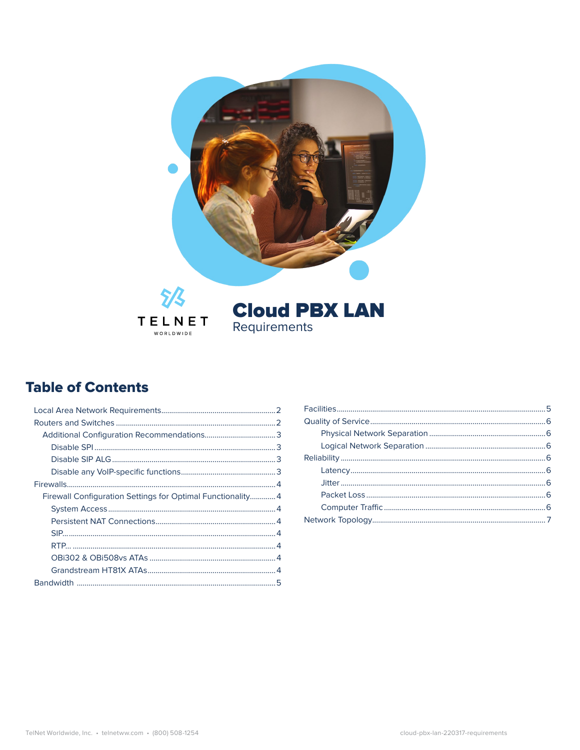

### **Table of Contents**

| Firewall Configuration Settings for Optimal Functionality 4 |  |
|-------------------------------------------------------------|--|
|                                                             |  |
|                                                             |  |
|                                                             |  |
|                                                             |  |
|                                                             |  |
|                                                             |  |
|                                                             |  |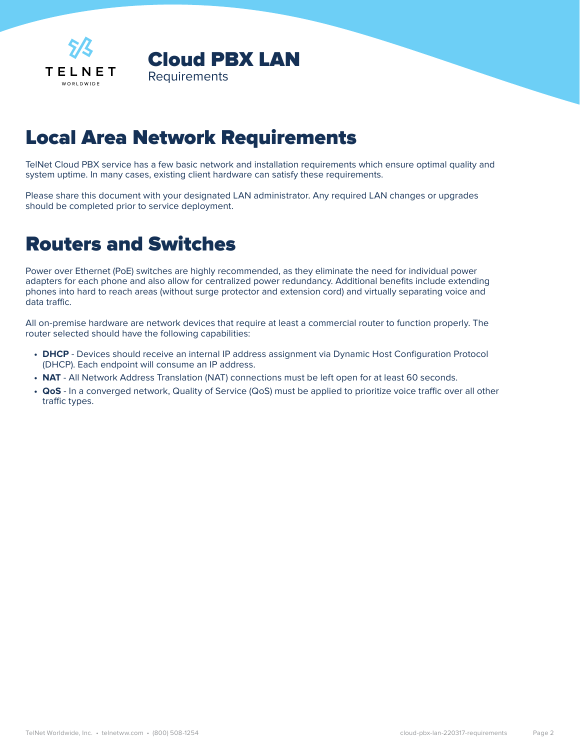<span id="page-1-0"></span>

# Local Area Network Requirements

TelNet Cloud PBX service has a few basic network and installation requirements which ensure optimal quality and system uptime. In many cases, existing client hardware can satisfy these requirements.

Please share this document with your designated LAN administrator. Any required LAN changes or upgrades should be completed prior to service deployment.

### Routers and Switches

Power over Ethernet (PoE) switches are highly recommended, as they eliminate the need for individual power adapters for each phone and also allow for centralized power redundancy. Additional benefits include extending phones into hard to reach areas (without surge protector and extension cord) and virtually separating voice and data traffic.

All on-premise hardware are network devices that require at least a commercial router to function properly. The router selected should have the following capabilities:

- **• DHCP** Devices should receive an internal IP address assignment via Dynamic Host Configuration Protocol (DHCP). Each endpoint will consume an IP address.
- **• NAT** All Network Address Translation (NAT) connections must be left open for at least 60 seconds.
- **• QoS** In a converged network, Quality of Service (QoS) must be applied to prioritize voice traffic over all other traffic types.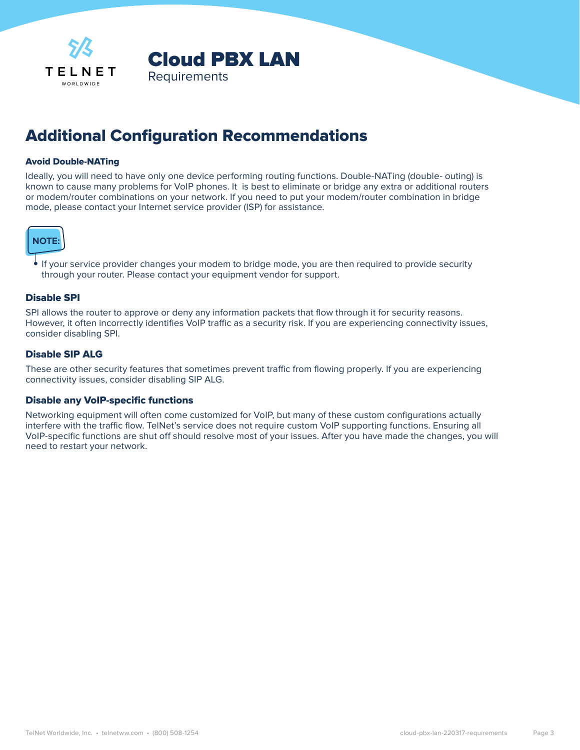<span id="page-2-0"></span>

### Additional Configuration Recommendations

#### Avoid Double-NATing

Ideally, you will need to have only one device performing routing functions. Double-NATing (double- outing) is known to cause many problems for VoIP phones. It is best to eliminate or bridge any extra or additional routers or modem/router combinations on your network. If you need to put your modem/router combination in bridge mode, please contact your Internet service provider (ISP) for assistance.



**•** If your service provider changes your modem to bridge mode, you are then required to provide security through your router. Please contact your equipment vendor for support.

#### Disable SPI

SPI allows the router to approve or deny any information packets that flow through it for security reasons. However, it often incorrectly identifies VoIP traffic as a security risk. If you are experiencing connectivity issues, consider disabling SPI.

#### Disable SIP ALG

These are other security features that sometimes prevent traffic from flowing properly. If you are experiencing connectivity issues, consider disabling SIP ALG.

#### Disable any VoIP-specific functions

Networking equipment will often come customized for VoIP, but many of these custom configurations actually interfere with the traffic flow. TelNet's service does not require custom VoIP supporting functions. Ensuring all VoIP-specific functions are shut off should resolve most of your issues. After you have made the changes, you will need to restart your network.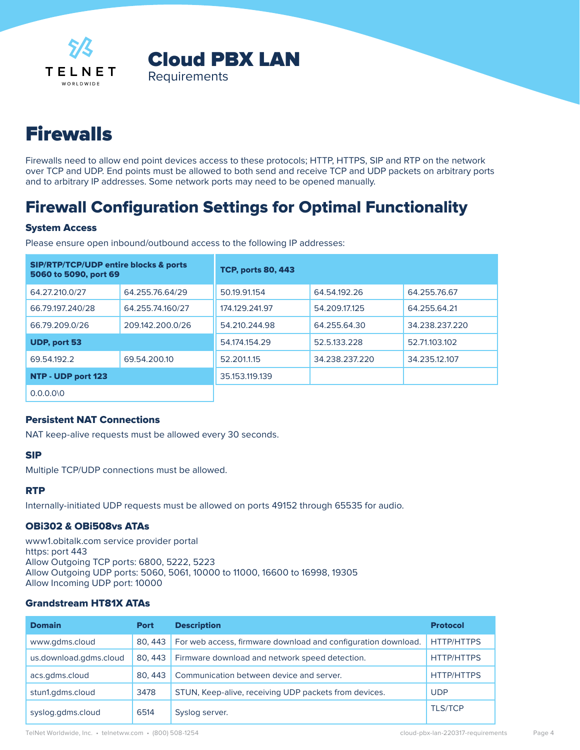<span id="page-3-0"></span>



# **Firewalls**

Firewalls need to allow end point devices access to these protocols; HTTP, HTTPS, SIP and RTP on the network over TCP and UDP. End points must be allowed to both send and receive TCP and UDP packets on arbitrary ports and to arbitrary IP addresses. Some network ports may need to be opened manually.

### Firewall Configuration Settings for Optimal Functionality

#### System Access

Please ensure open inbound/outbound access to the following IP addresses:

| <b>SIP/RTP/TCP/UDP entire blocks &amp; ports</b><br>5060 to 5090, port 69 |                  | <b>TCP, ports 80, 443</b> |                |                |
|---------------------------------------------------------------------------|------------------|---------------------------|----------------|----------------|
| 64.27.210.0/27                                                            | 64.255.76.64/29  | 50.19.91.154              | 64.54.192.26   | 64.255.76.67   |
| 66.79.197.240/28                                                          | 64.255.74.160/27 | 174.129.241.97            | 54.209.17.125  | 64.255.64.21   |
| 66.79.209.0/26                                                            | 209.142.200.0/26 | 54.210.244.98             | 64.255.64.30   | 34.238.237.220 |
| UDP, port 53                                                              |                  | 54.174.154.29             | 52.5.133.228   | 52.71.103.102  |
| 69.54.192.2                                                               | 69.54.200.10     | 52.201.1.15               | 34.238.237.220 | 34.235.12.107  |
| NTP - UDP port 123                                                        |                  | 35.153.119.139            |                |                |
| 0.0.010                                                                   |                  |                           |                |                |

0.0.0.0\0

#### Persistent NAT Connections

NAT keep-alive requests must be allowed every 30 seconds.

#### SIP

Multiple TCP/UDP connections must be allowed.

#### **RTP**

Internally-initiated UDP requests must be allowed on ports 49152 through 65535 for audio.

#### OBi302 & OBi508vs ATAs

www1.obitalk.com service provider portal https: port 443 Allow Outgoing TCP ports: 6800, 5222, 5223 Allow Outgoing UDP ports: 5060, 5061, 10000 to 11000, 16600 to 16998, 19305 Allow Incoming UDP port: 10000

#### Grandstream HT81X ATAs

| <b>Domain</b>          | <b>Port</b> | <b>Description</b>                                            | <b>Protocol</b>   |
|------------------------|-------------|---------------------------------------------------------------|-------------------|
| www.qdms.cloud         | 80, 443     | For web access, firmware download and configuration download. | <b>HTTP/HTTPS</b> |
| us.download.gdms.cloud | 80, 443     | Firmware download and network speed detection.                | <b>HTTP/HTTPS</b> |
| acs.gdms.cloud         | 80, 443     | Communication between device and server.                      | <b>HTTP/HTTPS</b> |
| stun1.gdms.cloud       | 3478        | STUN, Keep-alive, receiving UDP packets from devices.         | <b>UDP</b>        |
| syslog.gdms.cloud      | 6514        | Syslog server.                                                | <b>TLS/TCP</b>    |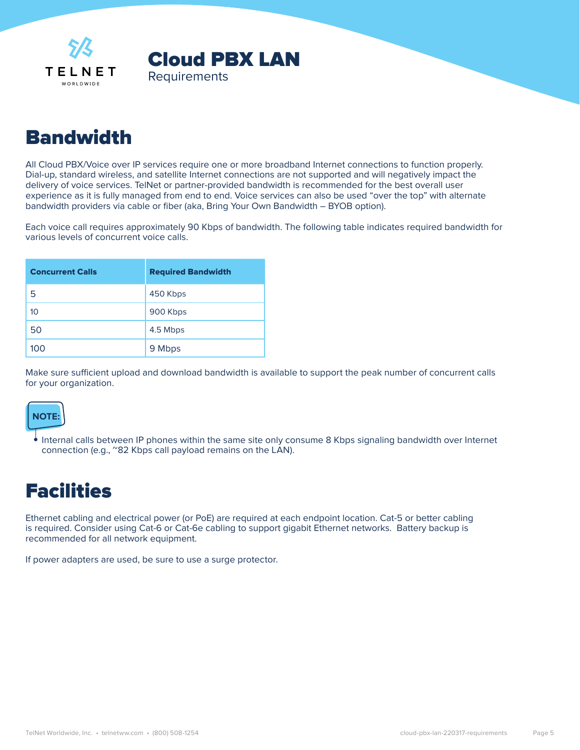<span id="page-4-0"></span>



## Bandwidth

All Cloud PBX/Voice over IP services require one or more broadband Internet connections to function properly. Dial-up, standard wireless, and satellite Internet connections are not supported and will negatively impact the delivery of voice services. TelNet or partner-provided bandwidth is recommended for the best overall user experience as it is fully managed from end to end. Voice services can also be used "over the top" with alternate bandwidth providers via cable or fiber (aka, Bring Your Own Bandwidth – BYOB option).

Each voice call requires approximately 90 Kbps of bandwidth. The following table indicates required bandwidth for various levels of concurrent voice calls.

| <b>Concurrent Calls</b> | <b>Required Bandwidth</b> |
|-------------------------|---------------------------|
| 5                       | 450 Kbps                  |
| 10                      | 900 Kbps                  |
| 50                      | 4.5 Mbps                  |
| 100                     | 9 Mbps                    |

Make sure sufficient upload and download bandwidth is available to support the peak number of concurrent calls for your organization.



**•** Internal calls between IP phones within the same site only consume 8 Kbps signaling bandwidth over Internet connection (e.g., ~82 Kbps call payload remains on the LAN).

## Facilities

Ethernet cabling and electrical power (or PoE) are required at each endpoint location. Cat-5 or better cabling is required. Consider using Cat-6 or Cat-6e cabling to support gigabit Ethernet networks. Battery backup is recommended for all network equipment.

If power adapters are used, be sure to use a surge protector.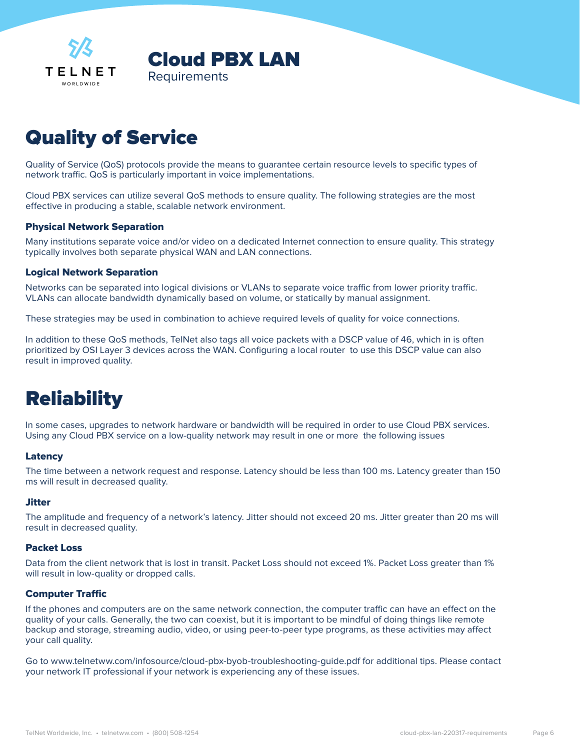<span id="page-5-0"></span>



# Quality of Service

Quality of Service (QoS) protocols provide the means to guarantee certain resource levels to specific types of network traffic. QoS is particularly important in voice implementations.

Cloud PBX services can utilize several QoS methods to ensure quality. The following strategies are the most effective in producing a stable, scalable network environment.

#### Physical Network Separation

Many institutions separate voice and/or video on a dedicated Internet connection to ensure quality. This strategy typically involves both separate physical WAN and LAN connections.

#### Logical Network Separation

Networks can be separated into logical divisions or VLANs to separate voice traffic from lower priority traffic. VLANs can allocate bandwidth dynamically based on volume, or statically by manual assignment.

These strategies may be used in combination to achieve required levels of quality for voice connections.

In addition to these QoS methods, TelNet also tags all voice packets with a DSCP value of 46, which in is often prioritized by OSI Layer 3 devices across the WAN. Configuring a local router to use this DSCP value can also result in improved quality.

## **Reliability**

In some cases, upgrades to network hardware or bandwidth will be required in order to use Cloud PBX services. Using any Cloud PBX service on a low-quality network may result in one or more the following issues

#### Latency

The time between a network request and response. Latency should be less than 100 ms. Latency greater than 150 ms will result in decreased quality.

#### **Jitter**

The amplitude and frequency of a network's latency. Jitter should not exceed 20 ms. Jitter greater than 20 ms will result in decreased quality.

#### Packet Loss

Data from the client network that is lost in transit. Packet Loss should not exceed 1%. Packet Loss greater than 1% will result in low-quality or dropped calls.

#### Computer Traffic

If the phones and computers are on the same network connection, the computer traffic can have an effect on the quality of your calls. Generally, the two can coexist, but it is important to be mindful of doing things like remote backup and storage, streaming audio, video, or using peer-to-peer type programs, as these activities may affect your call quality.

Go to <www.telnetww.com/infosource/cloud-pbx-byob-troubleshooting-guide.pdf> for additional tips. Please contact your network IT professional if your network is experiencing any of these issues.